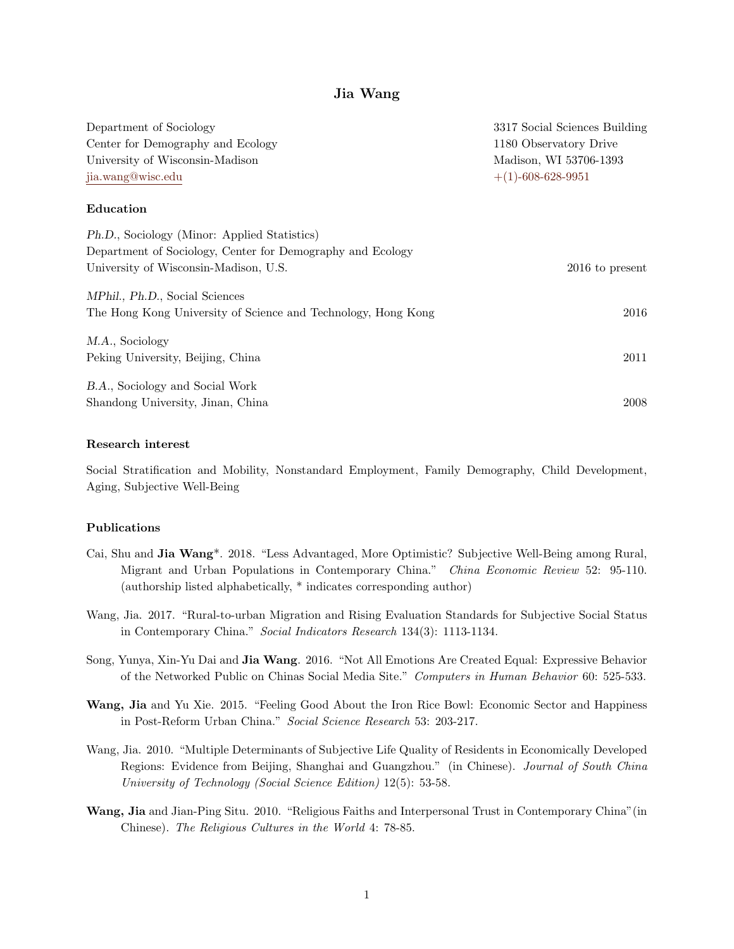# Jia Wang

| Department of Sociology                                       | 3317 Social Sciences Building<br>1180 Observatory Drive<br>Madison, WI 53706-1393<br>$+(1)$ -608-628-9951 |  |
|---------------------------------------------------------------|-----------------------------------------------------------------------------------------------------------|--|
| Center for Demography and Ecology                             |                                                                                                           |  |
| University of Wisconsin-Madison                               |                                                                                                           |  |
| jia.wang@wisc.edu                                             |                                                                                                           |  |
| Education                                                     |                                                                                                           |  |
| Ph.D., Sociology (Minor: Applied Statistics)                  |                                                                                                           |  |
| Department of Sociology, Center for Demography and Ecology    |                                                                                                           |  |
| University of Wisconsin-Madison, U.S.                         | 2016 to present                                                                                           |  |
| <i>MPhil.</i> , <i>Ph.D.</i> , Social Sciences                |                                                                                                           |  |
| The Hong Kong University of Science and Technology, Hong Kong | 2016                                                                                                      |  |
| M.A., Sociology                                               |                                                                                                           |  |
| Peking University, Beijing, China                             | 2011                                                                                                      |  |
| B.A., Sociology and Social Work                               |                                                                                                           |  |
| Shandong University, Jinan, China                             | 2008                                                                                                      |  |

#### Research interest

Social Stratification and Mobility, Nonstandard Employment, Family Demography, Child Development, Aging, Subjective Well-Being

### Publications

- Cai, Shu and Jia Wang\*. 2018. "Less Advantaged, More Optimistic? Subjective Well-Being among Rural, Migrant and Urban Populations in Contemporary China." China Economic Review 52: 95-110. (authorship listed alphabetically, \* indicates corresponding author)
- Wang, Jia. 2017. "Rural-to-urban Migration and Rising Evaluation Standards for Subjective Social Status in Contemporary China." Social Indicators Research 134(3): 1113-1134.
- Song, Yunya, Xin-Yu Dai and Jia Wang. 2016. "Not All Emotions Are Created Equal: Expressive Behavior of the Networked Public on Chinas Social Media Site." Computers in Human Behavior 60: 525-533.
- Wang, Jia and Yu Xie. 2015. "Feeling Good About the Iron Rice Bowl: Economic Sector and Happiness in Post-Reform Urban China." Social Science Research 53: 203-217.
- Wang, Jia. 2010. "Multiple Determinants of Subjective Life Quality of Residents in Economically Developed Regions: Evidence from Beijing, Shanghai and Guangzhou." (in Chinese). Journal of South China University of Technology (Social Science Edition) 12(5): 53-58.
- Wang, Jia and Jian-Ping Situ. 2010. "Religious Faiths and Interpersonal Trust in Contemporary China"(in Chinese). The Religious Cultures in the World 4: 78-85.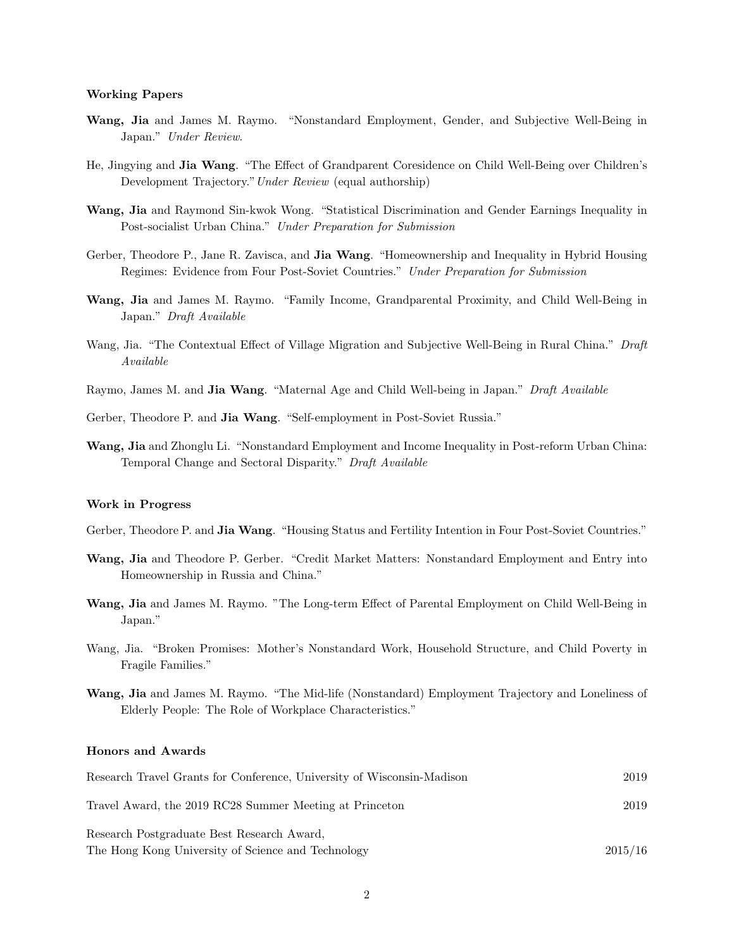#### Working Papers

- Wang, Jia and James M. Raymo. "Nonstandard Employment, Gender, and Subjective Well-Being in Japan." Under Review.
- He, Jingying and Jia Wang. "The Effect of Grandparent Coresidence on Child Well-Being over Children's Development Trajectory."Under Review (equal authorship)
- Wang, Jia and Raymond Sin-kwok Wong. "Statistical Discrimination and Gender Earnings Inequality in Post-socialist Urban China." Under Preparation for Submission
- Gerber, Theodore P., Jane R. Zavisca, and **Jia Wang**. "Homeownership and Inequality in Hybrid Housing Regimes: Evidence from Four Post-Soviet Countries." Under Preparation for Submission
- Wang, Jia and James M. Raymo. "Family Income, Grandparental Proximity, and Child Well-Being in Japan." Draft Available
- Wang, Jia. "The Contextual Effect of Village Migration and Subjective Well-Being in Rural China." Draft Available
- Raymo, James M. and Jia Wang. "Maternal Age and Child Well-being in Japan." Draft Available
- Gerber, Theodore P. and Jia Wang. "Self-employment in Post-Soviet Russia."
- Wang, Jia and Zhonglu Li. "Nonstandard Employment and Income Inequality in Post-reform Urban China: Temporal Change and Sectoral Disparity." Draft Available

#### Work in Progress

- Gerber, Theodore P. and **Jia Wang**. "Housing Status and Fertility Intention in Four Post-Soviet Countries."
- Wang, Jia and Theodore P. Gerber. "Credit Market Matters: Nonstandard Employment and Entry into Homeownership in Russia and China."
- Wang, Jia and James M. Raymo. "The Long-term Effect of Parental Employment on Child Well-Being in Japan."
- Wang, Jia. "Broken Promises: Mother's Nonstandard Work, Household Structure, and Child Poverty in Fragile Families."
- Wang, Jia and James M. Raymo. "The Mid-life (Nonstandard) Employment Trajectory and Loneliness of Elderly People: The Role of Workplace Characteristics."

### Honors and Awards

| Research Travel Grants for Conference, University of Wisconsin-Madison | 2019    |
|------------------------------------------------------------------------|---------|
| Travel Award, the 2019 RC28 Summer Meeting at Princeton                | 2019    |
| Research Postgraduate Best Research Award.                             |         |
| The Hong Kong University of Science and Technology                     | 2015/16 |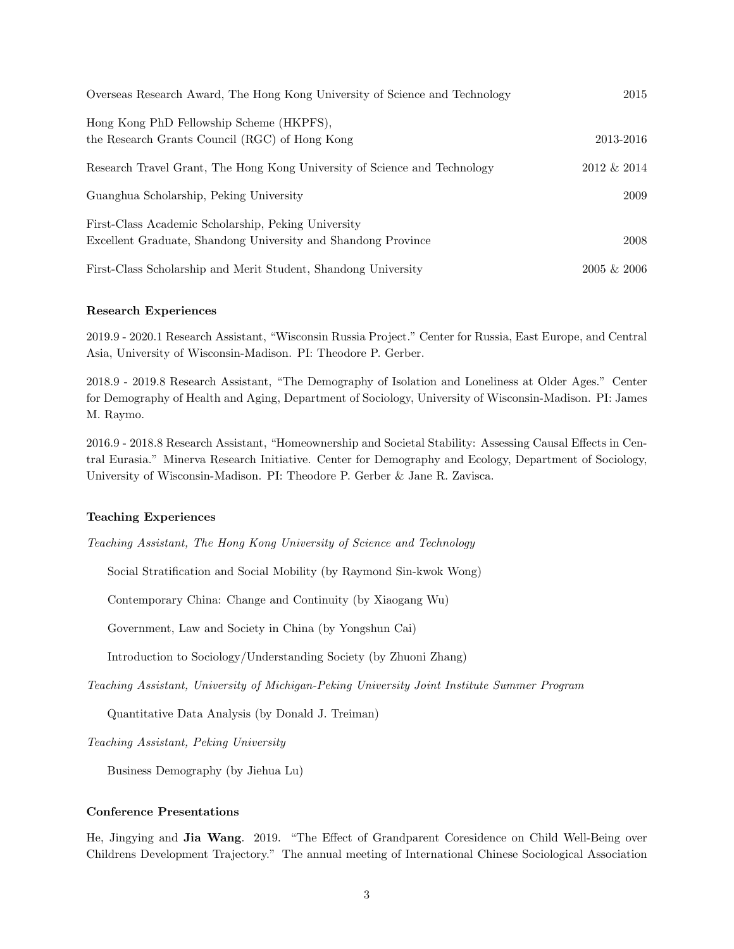| Overseas Research Award, The Hong Kong University of Science and Technology                                          | 2015           |
|----------------------------------------------------------------------------------------------------------------------|----------------|
| Hong Kong PhD Fellowship Scheme (HKPFS),<br>the Research Grants Council (RGC) of Hong Kong                           | 2013-2016      |
| Research Travel Grant, The Hong Kong University of Science and Technology                                            | 2012 & 2014    |
| Guanghua Scholarship, Peking University                                                                              | 2009           |
| First-Class Academic Scholarship, Peking University<br>Excellent Graduate, Shandong University and Shandong Province | 2008           |
| First-Class Scholarship and Merit Student, Shandong University                                                       | $2005 \& 2006$ |

### Research Experiences

2019.9 - 2020.1 Research Assistant, "Wisconsin Russia Project." Center for Russia, East Europe, and Central Asia, University of Wisconsin-Madison. PI: Theodore P. Gerber.

2018.9 - 2019.8 Research Assistant, "The Demography of Isolation and Loneliness at Older Ages." Center for Demography of Health and Aging, Department of Sociology, University of Wisconsin-Madison. PI: James M. Raymo.

2016.9 - 2018.8 Research Assistant, "Homeownership and Societal Stability: Assessing Causal Effects in Central Eurasia." Minerva Research Initiative. Center for Demography and Ecology, Department of Sociology, University of Wisconsin-Madison. PI: Theodore P. Gerber & Jane R. Zavisca.

#### Teaching Experiences

Teaching Assistant, The Hong Kong University of Science and Technology

Social Stratification and Social Mobility (by Raymond Sin-kwok Wong)

Contemporary China: Change and Continuity (by Xiaogang Wu)

Government, Law and Society in China (by Yongshun Cai)

Introduction to Sociology/Understanding Society (by Zhuoni Zhang)

Teaching Assistant, University of Michigan-Peking University Joint Institute Summer Program

Quantitative Data Analysis (by Donald J. Treiman)

Teaching Assistant, Peking University

Business Demography (by Jiehua Lu)

#### Conference Presentations

He, Jingying and Jia Wang. 2019. "The Effect of Grandparent Coresidence on Child Well-Being over Childrens Development Trajectory." The annual meeting of International Chinese Sociological Association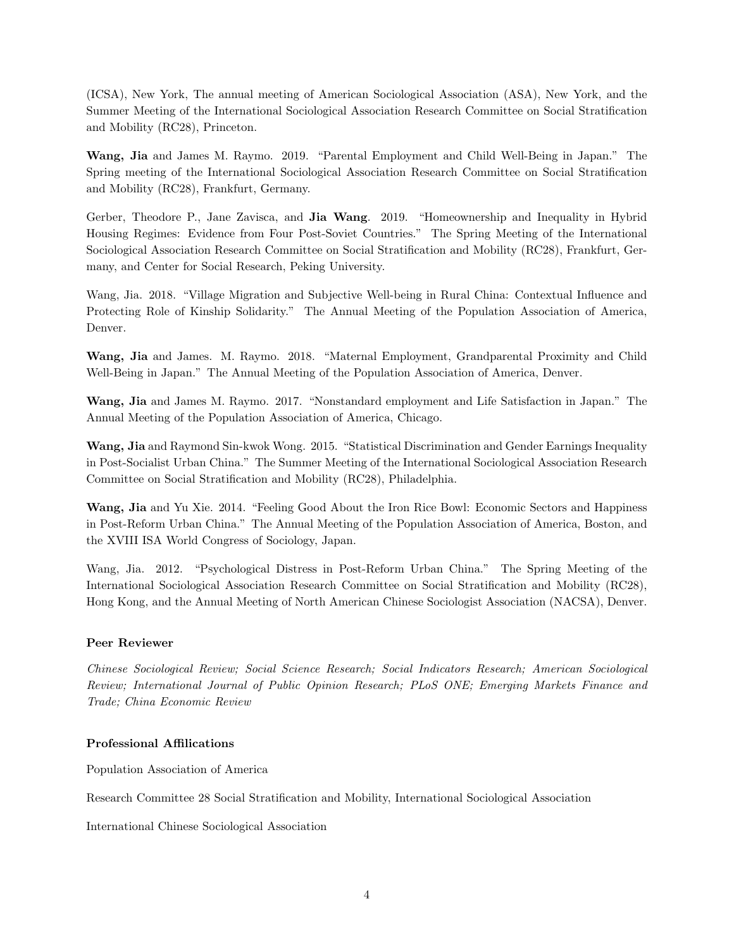(ICSA), New York, The annual meeting of American Sociological Association (ASA), New York, and the Summer Meeting of the International Sociological Association Research Committee on Social Stratification and Mobility (RC28), Princeton.

Wang, Jia and James M. Raymo. 2019. "Parental Employment and Child Well-Being in Japan." The Spring meeting of the International Sociological Association Research Committee on Social Stratification and Mobility (RC28), Frankfurt, Germany.

Gerber, Theodore P., Jane Zavisca, and Jia Wang. 2019. "Homeownership and Inequality in Hybrid Housing Regimes: Evidence from Four Post-Soviet Countries." The Spring Meeting of the International Sociological Association Research Committee on Social Stratification and Mobility (RC28), Frankfurt, Germany, and Center for Social Research, Peking University.

Wang, Jia. 2018. "Village Migration and Subjective Well-being in Rural China: Contextual Influence and Protecting Role of Kinship Solidarity." The Annual Meeting of the Population Association of America, Denver.

Wang, Jia and James. M. Raymo. 2018. "Maternal Employment, Grandparental Proximity and Child Well-Being in Japan." The Annual Meeting of the Population Association of America, Denver.

Wang, Jia and James M. Raymo. 2017. "Nonstandard employment and Life Satisfaction in Japan." The Annual Meeting of the Population Association of America, Chicago.

Wang, Jia and Raymond Sin-kwok Wong. 2015. "Statistical Discrimination and Gender Earnings Inequality in Post-Socialist Urban China." The Summer Meeting of the International Sociological Association Research Committee on Social Stratification and Mobility (RC28), Philadelphia.

Wang, Jia and Yu Xie. 2014. "Feeling Good About the Iron Rice Bowl: Economic Sectors and Happiness in Post-Reform Urban China." The Annual Meeting of the Population Association of America, Boston, and the XVIII ISA World Congress of Sociology, Japan.

Wang, Jia. 2012. "Psychological Distress in Post-Reform Urban China." The Spring Meeting of the International Sociological Association Research Committee on Social Stratification and Mobility (RC28), Hong Kong, and the Annual Meeting of North American Chinese Sociologist Association (NACSA), Denver.

## Peer Reviewer

Chinese Sociological Review; Social Science Research; Social Indicators Research; American Sociological Review; International Journal of Public Opinion Research; PLoS ONE; Emerging Markets Finance and Trade; China Economic Review

## Professional Affilications

Population Association of America

Research Committee 28 Social Stratification and Mobility, International Sociological Association

International Chinese Sociological Association